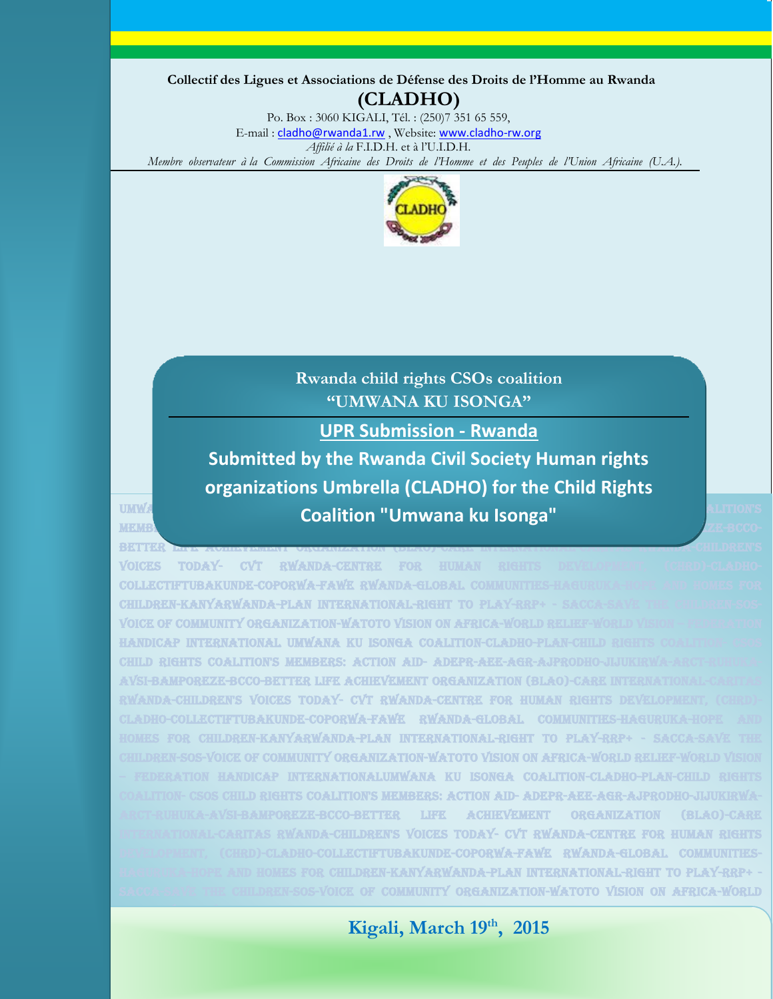**Collectif des Ligues et Associations de Défense des Droits de l'Homme au Rwanda (CLADHO)**

Po. Box : 3060 KIGALI, Tél. : (250)7 351 65 559, E-mail : cladho@rwanda1.rw, Website: www.cladho-rw.org *Affilié à la* F.I.D.H. et à l'U.I.D.H.  *Membre observateur à la Commission Africaine des Droits de l'Homme et des Peuples de l'Union Africaine (U.A.).*



**Rwanda child rights CSOs coalition "UMWANA KU ISONGA"**

**UPR Submission - Rwanda**

**Coalition "Umwana ku Isonga" and child rights coalition** and rights coalition in the coalition of the coalition members: action aid- adeptition aid- and and adepre-agree-agreement  $\overline{\mathbf{z}}$  in  $\overline{\mathbf{z}}$  and  $\overline{\mathbf{z}}$ **Submitted by the Rwanda Civil Society Human rights organizations Umbrella (CLADHO) for the Child Rights** 

better life achievement organization (blacoverence international-caritas response response response and  $\alpha$  MILDREN'S

voices today- cvt rwanda-centre for human COLLECTIFTUBAKUNDE-COPORWA-FAWE RWANDA-GLOBAL COMMU children-kanyarwanda-plan international-right to play VOICE OF COMMUNITY ORGANIZATION-WATOTO VISION ON AFRICA-WO INTERNATIONAL UMWANA KU ISONGA COALITION-CLADH CHILD RIGHTS COALITION'S MEMBERS: ACTION AID-ADEPR-AEE-AGRavsi-bamporeze-bcco-better life achievement organization (blao)-care international-caritas rward a-children's voices today- cvt rwanda-centre for human rights  $\tt CTFTUBAKUNDE-COPORWA-FAWE-RWANDA-GLOBAL COMMUNTTES$ **LDREN-KANYARWANDA-PLAN INTERNATIONAL-RIGHT TO PLAY-RRP** COMMUNITY ORGANIZATION-WATOTO VISION ON AFRICA-WORLD RELI  $R$ NATIONALUMWANA KU ISONGA COALITION-CLADHOcoalition- csos child rights coalition's members: action aid- adepr-aee-agr-ajprodho-jijukirwa- $\overline{\text{LIFR}} = \text{ACHIFVEMENT} = \text{ORGANIZATION}$ international-caritas rwanda-children's voices today- cvt rwanda-centre for human rights  $\tt TIRAKIINDR-CORORW4-FAWR-RWAMD4-GI.ORA I$ haguruka-hope and homes for children-kanyarwanda-plan international-right to play-rrp+ - COMMUNITY ORGANIZATION-WATOTO VISION ON AFRICA-WORLD

 **Kigali, March 19th**, 2015

relief-world vision – federation handicap international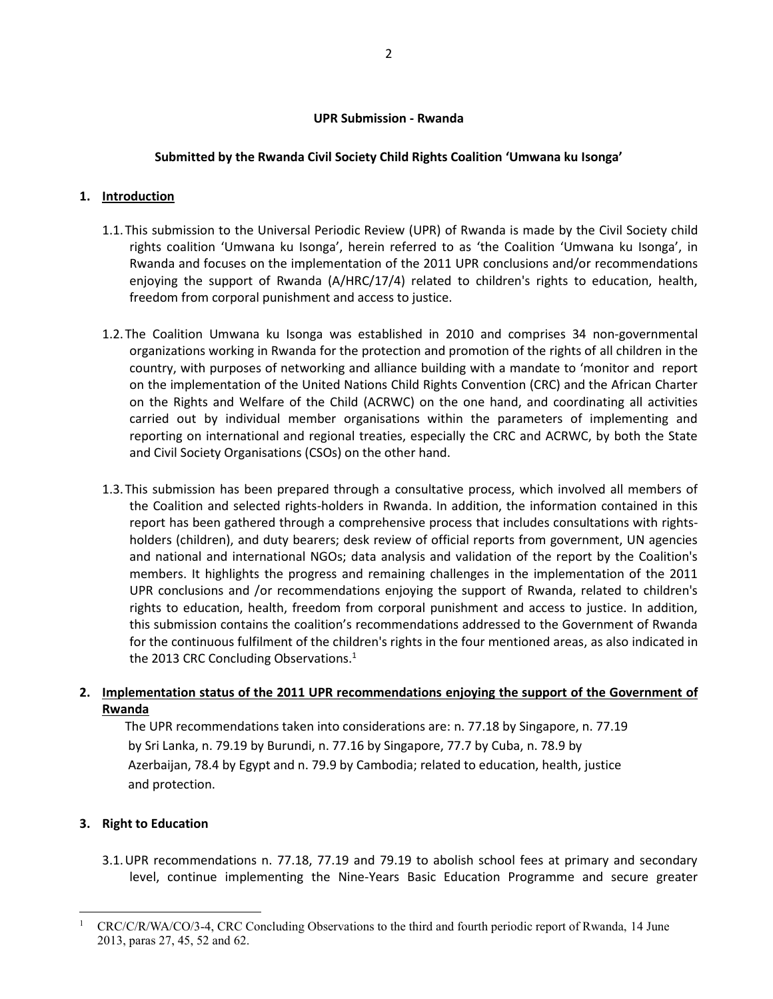#### **UPR Submission - Rwanda**

### **Submitted by the Rwanda Civil Society Child Rights Coalition 'Umwana ku Isonga'**

### **1. Introduction**

- 1.1.This submission to the Universal Periodic Review (UPR) of Rwanda is made by the Civil Society child rights coalition 'Umwana ku Isonga', herein referred to as 'the Coalition 'Umwana ku Isonga', in Rwanda and focuses on the implementation of the 2011 UPR conclusions and/or recommendations enjoying the support of Rwanda (A/HRC/17/4) related to children's rights to education, health, freedom from corporal punishment and access to justice.
- 1.2.The Coalition Umwana ku Isonga was established in 2010 and comprises 34 non-governmental organizations working in Rwanda for the protection and promotion of the rights of all children in the country, with purposes of networking and alliance building with a mandate to 'monitor and report on the implementation of the United Nations Child Rights Convention (CRC) and the African Charter on the Rights and Welfare of the Child (ACRWC) on the one hand, and coordinating all activities carried out by individual member organisations within the parameters of implementing and reporting on international and regional treaties, especially the CRC and ACRWC, by both the State and Civil Society Organisations (CSOs) on the other hand.
- 1.3.This submission has been prepared through a consultative process, which involved all members of the Coalition and selected rights-holders in Rwanda. In addition, the information contained in this report has been gathered through a comprehensive process that includes consultations with rightsholders (children), and duty bearers; desk review of official reports from government, UN agencies and national and international NGOs; data analysis and validation of the report by the Coalition's members. It highlights the progress and remaining challenges in the implementation of the 2011 UPR conclusions and /or recommendations enjoying the support of Rwanda, related to children's rights to education, health, freedom from corporal punishment and access to justice. In addition, this submission contains the coalition's recommendations addressed to the Government of Rwanda for the continuous fulfilment of the children's rights in the four mentioned areas, as also indicated in the 2013 CRC Concluding Observations.<sup>1</sup>

# **2. Implementation status of the 2011 UPR recommendations enjoying the support of the Government of Rwanda**

 The UPR recommendations taken into considerations are: n. 77.18 by Singapore, n. 77.19 by Sri Lanka, n. 79.19 by Burundi, n. 77.16 by Singapore, 77.7 by Cuba, n. 78.9 by Azerbaijan, 78.4 by Egypt and n. 79.9 by Cambodia; related to education, health, justice and protection.

### **3. Right to Education**

 $\overline{a}$ 

3.1.UPR recommendations n. 77.18, 77.19 and 79.19 to abolish school fees at primary and secondary level, continue implementing the Nine-Years Basic Education Programme and secure greater

<sup>&</sup>lt;sup>1</sup> CRC/C/R/WA/CO/3-4, CRC Concluding Observations to the third and fourth periodic report of Rwanda, 14 June 2013, paras 27, 45, 52 and 62.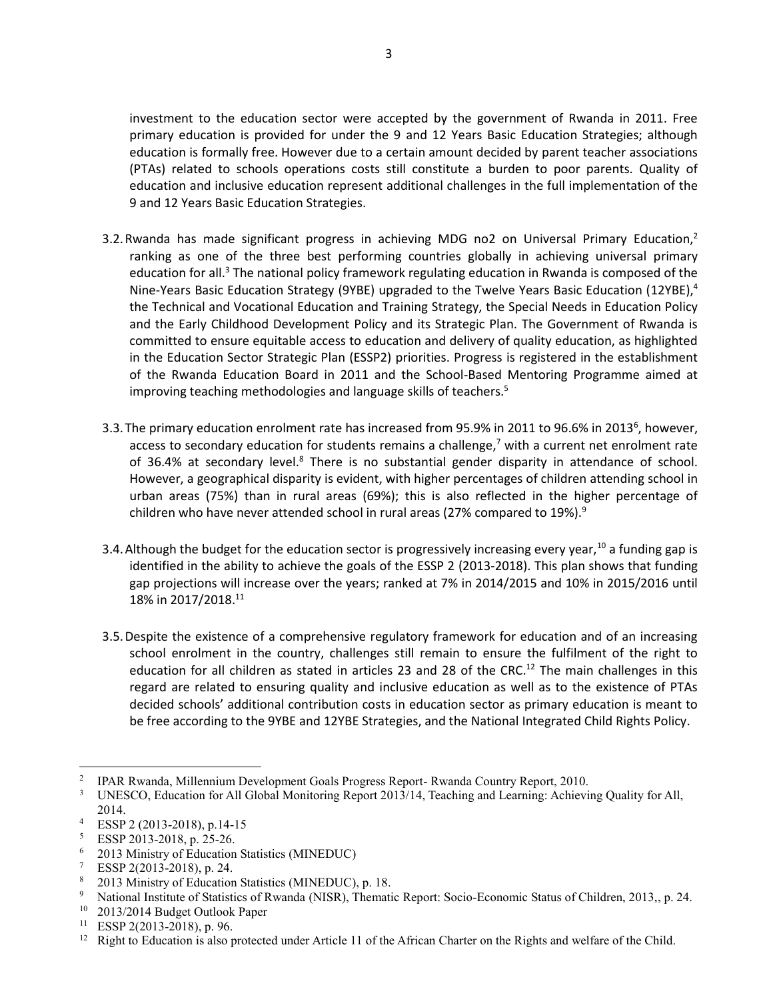investment to the education sector were accepted by the government of Rwanda in 2011. Free primary education is provided for under the 9 and 12 Years Basic Education Strategies; although education is formally free. However due to a certain amount decided by parent teacher associations (PTAs) related to schools operations costs still constitute a burden to poor parents. Quality of education and inclusive education represent additional challenges in the full implementation of the 9 and 12 Years Basic Education Strategies.

- 3.2. Rwanda has made significant progress in achieving MDG no2 on Universal Primary Education, $<sup>2</sup>$ </sup> ranking as one of the three best performing countries globally in achieving universal primary education for all.<sup>3</sup> The national policy framework regulating education in Rwanda is composed of the Nine-Years Basic Education Strategy (9YBE) upgraded to the Twelve Years Basic Education (12YBE),<sup>4</sup> the Technical and Vocational Education and Training Strategy, the Special Needs in Education Policy and the Early Childhood Development Policy and its Strategic Plan. The Government of Rwanda is committed to ensure equitable access to education and delivery of quality education, as highlighted in the Education Sector Strategic Plan (ESSP2) priorities. Progress is registered in the establishment of the Rwanda Education Board in 2011 and the School-Based Mentoring Programme aimed at improving teaching methodologies and language skills of teachers.<sup>5</sup>
- 3.3. The primary education enrolment rate has increased from 95.9% in 2011 to 96.6% in 2013<sup>6</sup>, however, access to secondary education for students remains a challenge,<sup>7</sup> with a current net enrolment rate of 36.4% at secondary level.<sup>8</sup> There is no substantial gender disparity in attendance of school. However, a geographical disparity is evident, with higher percentages of children attending school in urban areas (75%) than in rural areas (69%); this is also reflected in the higher percentage of children who have never attended school in rural areas (27% compared to 19%).<sup>9</sup>
- 3.4. Although the budget for the education sector is progressively increasing every year,  $^{10}$  a funding gap is identified in the ability to achieve the goals of the ESSP 2 (2013-2018). This plan shows that funding gap projections will increase over the years; ranked at 7% in 2014/2015 and 10% in 2015/2016 until 18% in 2017/2018.11
- 3.5.Despite the existence of a comprehensive regulatory framework for education and of an increasing school enrolment in the country, challenges still remain to ensure the fulfilment of the right to education for all children as stated in articles 23 and 28 of the CRC.<sup>12</sup> The main challenges in this regard are related to ensuring quality and inclusive education as well as to the existence of PTAs decided schools' additional contribution costs in education sector as primary education is meant to be free according to the 9YBE and 12YBE Strategies, and the National Integrated Child Rights Policy.

 $\overline{\phantom{a}}$ 

<sup>2</sup> IPAR Rwanda, Millennium Development Goals Progress Report- Rwanda Country Report, 2010.

<sup>&</sup>lt;sup>3</sup> UNESCO, Education for All Global Monitoring Report 2013/14, Teaching and Learning: Achieving Quality for All, 2014.

<sup>4</sup> ESSP 2 (2013-2018), p.14-15

 $5$  ESSP 2013-2018, p. 25-26.<br>  $6$  2013 Ministry of Education

<sup>&</sup>lt;sup>6</sup> 2013 Ministry of Education Statistics (MINEDUC)<sup>7</sup> ESSP 2(2013-2018), p. 24.

<sup>&</sup>lt;sup>8</sup> 2013 Ministry of Education Statistics (MINEDUC), p. 18.<br><sup>9</sup> National Institute of Statistics of Rwanda (NISR), Thematic Report: Socio-Economic Status of Children, 2013,, p. 24.<br><sup>10</sup> 2013/2014 Budget Outlook Paper<br><sup>11</sup>

<sup>&</sup>lt;sup>12</sup> Right to Education is also protected under Article 11 of the African Charter on the Rights and welfare of the Child.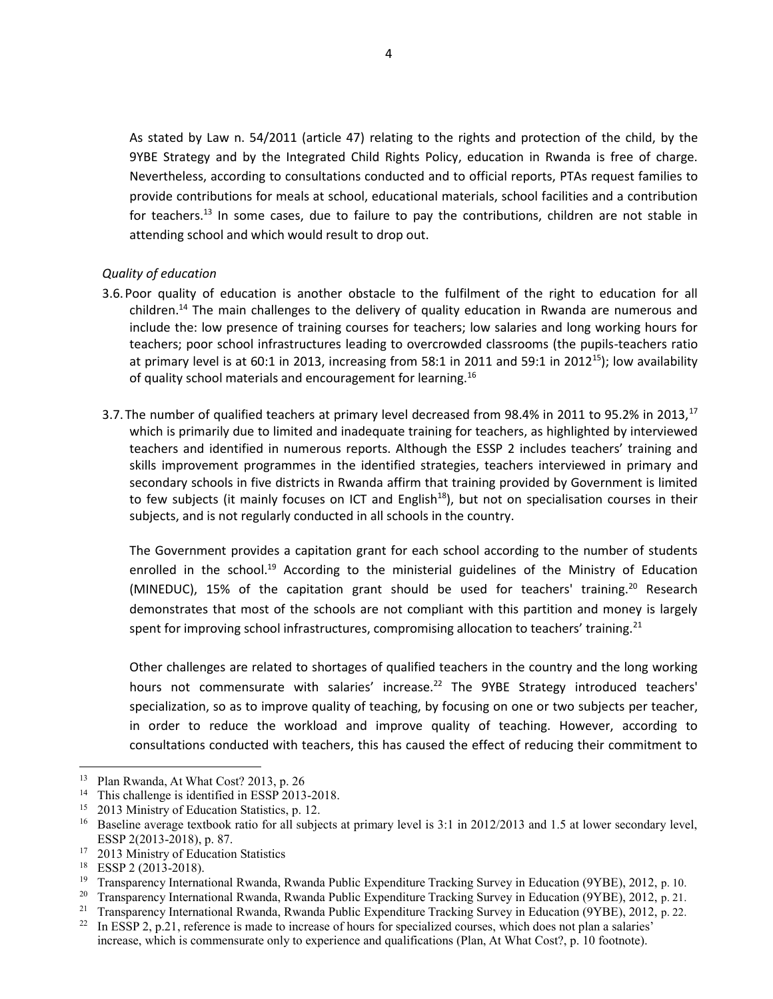As stated by Law n. 54/2011 (article 47) relating to the rights and protection of the child, by the 9YBE Strategy and by the Integrated Child Rights Policy, education in Rwanda is free of charge. Nevertheless, according to consultations conducted and to official reports, PTAs request families to provide contributions for meals at school, educational materials, school facilities and a contribution for teachers.<sup>13</sup> In some cases, due to failure to pay the contributions, children are not stable in attending school and which would result to drop out.

### *Quality of education*

- 3.6.Poor quality of education is another obstacle to the fulfilment of the right to education for all children.<sup>14</sup> The main challenges to the delivery of quality education in Rwanda are numerous and include the: low presence of training courses for teachers; low salaries and long working hours for teachers; poor school infrastructures leading to overcrowded classrooms (the pupils-teachers ratio at primary level is at 60:1 in 2013, increasing from 58:1 in 2011 and 59:1 in 2012<sup>15</sup>); low availability of quality school materials and encouragement for learning.<sup>16</sup>
- 3.7. The number of qualified teachers at primary level decreased from 98.4% in 2011 to 95.2% in 2013,<sup>17</sup> which is primarily due to limited and inadequate training for teachers, as highlighted by interviewed teachers and identified in numerous reports. Although the ESSP 2 includes teachers' training and skills improvement programmes in the identified strategies, teachers interviewed in primary and secondary schools in five districts in Rwanda affirm that training provided by Government is limited to few subjects (it mainly focuses on ICT and English<sup>18</sup>), but not on specialisation courses in their subjects, and is not regularly conducted in all schools in the country.

The Government provides a capitation grant for each school according to the number of students enrolled in the school.<sup>19</sup> According to the ministerial guidelines of the Ministry of Education (MINEDUC), 15% of the capitation grant should be used for teachers' training.<sup>20</sup> Research demonstrates that most of the schools are not compliant with this partition and money is largely spent for improving school infrastructures, compromising allocation to teachers' training.<sup>21</sup>

Other challenges are related to shortages of qualified teachers in the country and the long working hours not commensurate with salaries' increase.<sup>22</sup> The 9YBE Strategy introduced teachers' specialization, so as to improve quality of teaching, by focusing on one or two subjects per teacher, in order to reduce the workload and improve quality of teaching. However, according to consultations conducted with teachers, this has caused the effect of reducing their commitment to

 $\overline{\phantom{a}}$ 

<sup>13</sup> Plan Rwanda, At What Cost? 2013, p. 26

<sup>&</sup>lt;sup>14</sup> This challenge is identified in ESSP 2013-2018.<br><sup>15</sup> 2013 Ministry of Education Statistics, p. 12.

<sup>&</sup>lt;sup>16</sup> Baseline average textbook ratio for all subjects at primary level is 3:1 in 2012/2013 and 1.5 at lower secondary level, ESSP 2(2013-2018), p. 87.<br><sup>17</sup> 2013 Ministry of Education Statistics

<sup>18</sup> ESSP 2 (2013-2018).

<sup>&</sup>lt;sup>19</sup> Transparency International Rwanda, Rwanda Public Expenditure Tracking Survey in Education (9YBE), 2012, p. 10.

<sup>&</sup>lt;sup>20</sup> Transparency International Rwanda, Rwanda Public Expenditure Tracking Survey in Education (9YBE), 2012, p. 21.

<sup>21</sup> Transparency International Rwanda, Rwanda Public Expenditure Tracking Survey in Education (9YBE), 2012, p. 22.

<sup>&</sup>lt;sup>22</sup> In ESSP 2, p.21, reference is made to increase of hours for specialized courses, which does not plan a salaries' increase, which is commensurate only to experience and qualifications (Plan, At What Cost?, p. 10 footnote).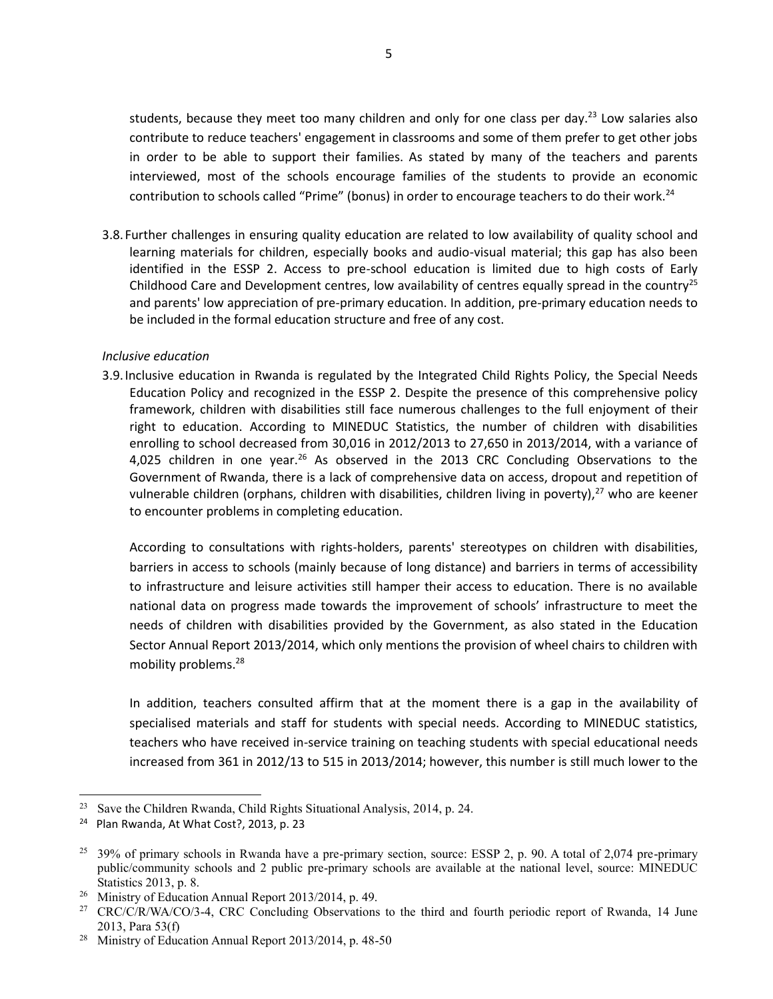students, because they meet too many children and only for one class per day.<sup>23</sup> Low salaries also contribute to reduce teachers' engagement in classrooms and some of them prefer to get other jobs in order to be able to support their families. As stated by many of the teachers and parents interviewed, most of the schools encourage families of the students to provide an economic contribution to schools called "Prime" (bonus) in order to encourage teachers to do their work.<sup>24</sup>

3.8.Further challenges in ensuring quality education are related to low availability of quality school and learning materials for children, especially books and audio-visual material; this gap has also been identified in the ESSP 2. Access to pre-school education is limited due to high costs of Early Childhood Care and Development centres, low availability of centres equally spread in the country<sup>25</sup> and parents' low appreciation of pre-primary education. In addition, pre-primary education needs to be included in the formal education structure and free of any cost.

#### *Inclusive education*

3.9.Inclusive education in Rwanda is regulated by the Integrated Child Rights Policy, the Special Needs Education Policy and recognized in the ESSP 2. Despite the presence of this comprehensive policy framework, children with disabilities still face numerous challenges to the full enjoyment of their right to education. According to MINEDUC Statistics, the number of children with disabilities enrolling to school decreased from 30,016 in 2012/2013 to 27,650 in 2013/2014, with a variance of 4,025 children in one year.<sup>26</sup> As observed in the 2013 CRC Concluding Observations to the Government of Rwanda, there is a lack of comprehensive data on access, dropout and repetition of vulnerable children (orphans, children with disabilities, children living in poverty),<sup>27</sup> who are keener to encounter problems in completing education.

According to consultations with rights-holders, parents' stereotypes on children with disabilities, barriers in access to schools (mainly because of long distance) and barriers in terms of accessibility to infrastructure and leisure activities still hamper their access to education. There is no available national data on progress made towards the improvement of schools' infrastructure to meet the needs of children with disabilities provided by the Government, as also stated in the Education Sector Annual Report 2013/2014, which only mentions the provision of wheel chairs to children with mobility problems.28

In addition, teachers consulted affirm that at the moment there is a gap in the availability of specialised materials and staff for students with special needs. According to MINEDUC statistics, teachers who have received in-service training on teaching students with special educational needs increased from 361 in 2012/13 to 515 in 2013/2014; however, this number is still much lower to the

 $\overline{a}$ 

<sup>&</sup>lt;sup>23</sup> Save the Children Rwanda, Child Rights Situational Analysis, 2014, p. 24.

<sup>&</sup>lt;sup>24</sup> Plan Rwanda, At What Cost?, 2013, p. 23

 $25$  39% of primary schools in Rwanda have a pre-primary section, source: ESSP 2, p. 90. A total of 2,074 pre-primary public/community schools and 2 public pre-primary schools are available at the national level, source: MINEDUC Statistics 2013, p. 8.<br><sup>26</sup> Ministry of Education Annual Report 2013/2014, p. 49.<br><sup>27</sup> CRC/C/R/WA/CO/3-4, CRC Concluding Observations to the third and fourth periodic report of Rwanda, 14 June

<sup>2013,</sup> Para 53(f)

<sup>28</sup> Ministry of Education Annual Report 2013/2014, p. 48-50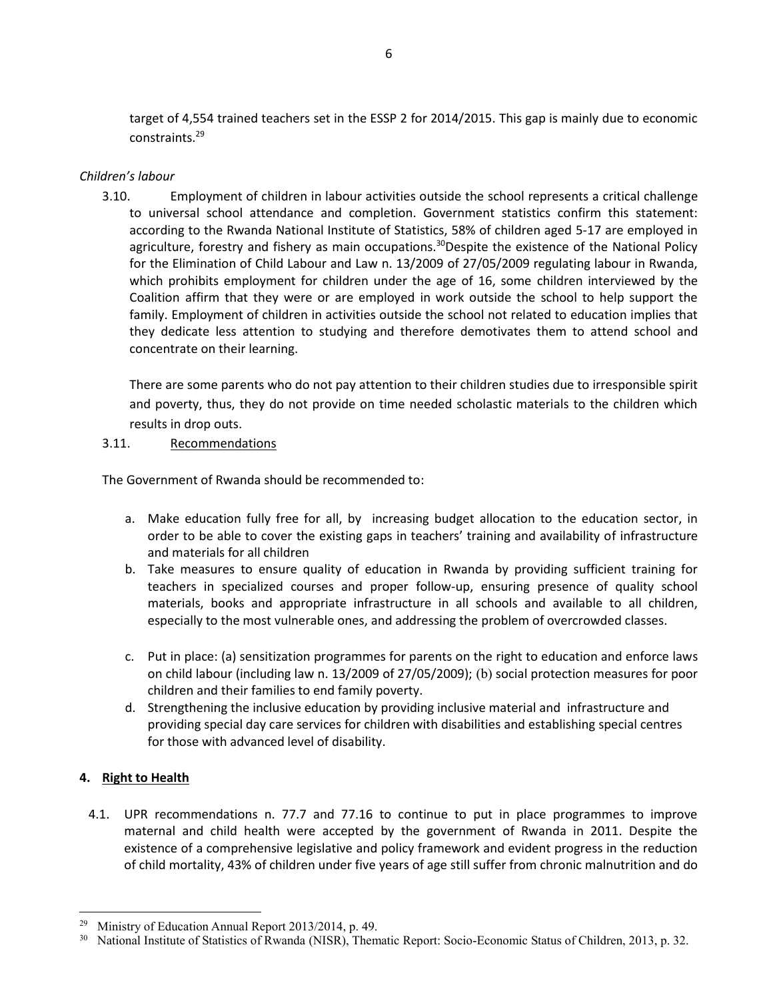target of 4,554 trained teachers set in the ESSP 2 for 2014/2015. This gap is mainly due to economic constraints.29

# *Children's labour*

3.10. Employment of children in labour activities outside the school represents a critical challenge to universal school attendance and completion. Government statistics confirm this statement: according to the Rwanda National Institute of Statistics, 58% of children aged 5-17 are employed in agriculture, forestry and fishery as main occupations.<sup>30</sup>Despite the existence of the National Policy for the Elimination of Child Labour and Law n. 13/2009 of 27/05/2009 regulating labour in Rwanda, which prohibits employment for children under the age of 16, some children interviewed by the Coalition affirm that they were or are employed in work outside the school to help support the family. Employment of children in activities outside the school not related to education implies that they dedicate less attention to studying and therefore demotivates them to attend school and concentrate on their learning.

There are some parents who do not pay attention to their children studies due to irresponsible spirit and poverty, thus, they do not provide on time needed scholastic materials to the children which results in drop outs.

# 3.11. Recommendations

The Government of Rwanda should be recommended to:

- a. Make education fully free for all, by increasing budget allocation to the education sector, in order to be able to cover the existing gaps in teachers' training and availability of infrastructure and materials for all children
- b. Take measures to ensure quality of education in Rwanda by providing sufficient training for teachers in specialized courses and proper follow-up, ensuring presence of quality school materials, books and appropriate infrastructure in all schools and available to all children, especially to the most vulnerable ones, and addressing the problem of overcrowded classes.
- c. Put in place: (a) sensitization programmes for parents on the right to education and enforce laws on child labour (including law n. 13/2009 of 27/05/2009); (b) social protection measures for poor children and their families to end family poverty.
- d. Strengthening the inclusive education by providing inclusive material and infrastructure and providing special day care services for children with disabilities and establishing special centres for those with advanced level of disability.

# **4. Right to Health**

 $\overline{a}$ 

4.1. UPR recommendations n. 77.7 and 77.16 to continue to put in place programmes to improve maternal and child health were accepted by the government of Rwanda in 2011. Despite the existence of a comprehensive legislative and policy framework and evident progress in the reduction of child mortality, 43% of children under five years of age still suffer from chronic malnutrition and do

<sup>&</sup>lt;sup>29</sup> Ministry of Education Annual Report 2013/2014, p. 49.<br><sup>30</sup> National Institute of Statistics of Rwanda (NISR), Thematic Report: Socio-Economic Status of Children, 2013, p. 32.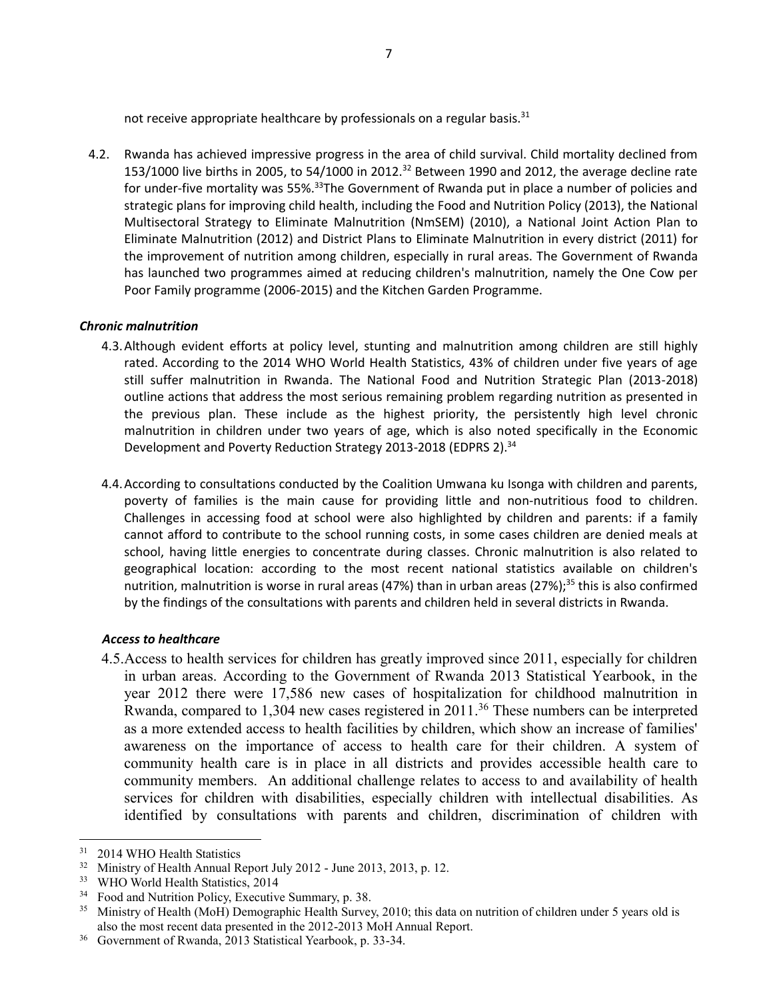not receive appropriate healthcare by professionals on a regular basis.<sup>31</sup>

4.2. Rwanda has achieved impressive progress in the area of child survival. Child mortality declined from 153/1000 live births in 2005, to 54/1000 in 2012.32 Between 1990 and 2012, the average decline rate for under-five mortality was 55%.<sup>33</sup>The Government of Rwanda put in place a number of policies and strategic plans for improving child health, including the Food and Nutrition Policy (2013), the National Multisectoral Strategy to Eliminate Malnutrition (NmSEM) (2010), a National Joint Action Plan to Eliminate Malnutrition (2012) and District Plans to Eliminate Malnutrition in every district (2011) for the improvement of nutrition among children, especially in rural areas. The Government of Rwanda has launched two programmes aimed at reducing children's malnutrition, namely the One Cow per Poor Family programme (2006-2015) and the Kitchen Garden Programme.

# *Chronic malnutrition*

- 4.3.Although evident efforts at policy level, stunting and malnutrition among children are still highly rated. According to the 2014 WHO World Health Statistics, 43% of children under five years of age still suffer malnutrition in Rwanda. The National Food and Nutrition Strategic Plan (2013-2018) outline actions that address the most serious remaining problem regarding nutrition as presented in the previous plan. These include as the highest priority, the persistently high level chronic malnutrition in children under two years of age, which is also noted specifically in the Economic Development and Poverty Reduction Strategy 2013-2018 (EDPRS 2).<sup>34</sup>
- 4.4.According to consultations conducted by the Coalition Umwana ku Isonga with children and parents, poverty of families is the main cause for providing little and non-nutritious food to children. Challenges in accessing food at school were also highlighted by children and parents: if a family cannot afford to contribute to the school running costs, in some cases children are denied meals at school, having little energies to concentrate during classes. Chronic malnutrition is also related to geographical location: according to the most recent national statistics available on children's nutrition, malnutrition is worse in rural areas (47%) than in urban areas (27%);<sup>35</sup> this is also confirmed by the findings of the consultations with parents and children held in several districts in Rwanda.

# *Access to healthcare*

4.5.Access to health services for children has greatly improved since 2011, especially for children in urban areas. According to the Government of Rwanda 2013 Statistical Yearbook, in the year 2012 there were 17,586 new cases of hospitalization for childhood malnutrition in Rwanda, compared to 1,304 new cases registered in 2011.<sup>36</sup> These numbers can be interpreted as a more extended access to health facilities by children, which show an increase of families' awareness on the importance of access to health care for their children. A system of community health care is in place in all districts and provides accessible health care to community members. An additional challenge relates to access to and availability of health services for children with disabilities, especially children with intellectual disabilities. As identified by consultations with parents and children, discrimination of children with

 $\overline{\phantom{a}}$ 

<sup>&</sup>lt;sup>31</sup> 2014 WHO Health Statistics

<sup>&</sup>lt;sup>32</sup> Ministry of Health Annual Report July 2012 - June 2013, 2013, p. 12.<br><sup>33</sup> WHO World Health Statistics, 2014

<sup>&</sup>lt;sup>34</sup> Food and Nutrition Policy, Executive Summary, p. 38.<br><sup>35</sup> Ministry of Health (MoH) Demographic Health Survey, 2010; this data on nutrition of children under 5 years old is also the most recent data presented in the 2012-2013 MoH Annual Report.

<sup>36</sup> Government of Rwanda, 2013 Statistical Yearbook, p. 33-34.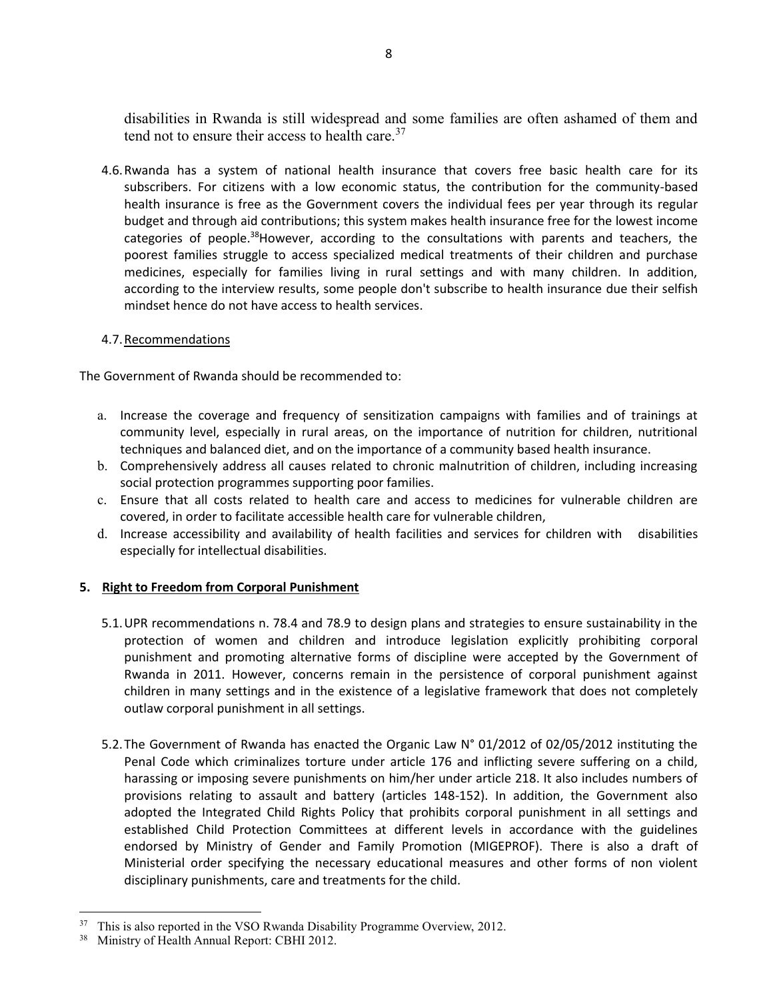disabilities in Rwanda is still widespread and some families are often ashamed of them and tend not to ensure their access to health care.<sup>37</sup>

4.6.Rwanda has a system of national health insurance that covers free basic health care for its subscribers. For citizens with a low economic status, the contribution for the community-based health insurance is free as the Government covers the individual fees per year through its regular budget and through aid contributions; this system makes health insurance free for the lowest income categories of people.38However, according to the consultations with parents and teachers, the poorest families struggle to access specialized medical treatments of their children and purchase medicines, especially for families living in rural settings and with many children. In addition, according to the interview results, some people don't subscribe to health insurance due their selfish mindset hence do not have access to health services.

# 4.7.Recommendations

The Government of Rwanda should be recommended to:

- a. Increase the coverage and frequency of sensitization campaigns with families and of trainings at community level, especially in rural areas, on the importance of nutrition for children, nutritional techniques and balanced diet, and on the importance of a community based health insurance.
- b. Comprehensively address all causes related to chronic malnutrition of children, including increasing social protection programmes supporting poor families.
- c. Ensure that all costs related to health care and access to medicines for vulnerable children are covered, in order to facilitate accessible health care for vulnerable children,
- d. Increase accessibility and availability of health facilities and services for children with disabilities especially for intellectual disabilities.

# **5. Right to Freedom from Corporal Punishment**

- 5.1.UPR recommendations n. 78.4 and 78.9 to design plans and strategies to ensure sustainability in the protection of women and children and introduce legislation explicitly prohibiting corporal punishment and promoting alternative forms of discipline were accepted by the Government of Rwanda in 2011. However, concerns remain in the persistence of corporal punishment against children in many settings and in the existence of a legislative framework that does not completely outlaw corporal punishment in all settings.
- 5.2.The Government of Rwanda has enacted the Organic Law N° 01/2012 of 02/05/2012 instituting the Penal Code which criminalizes torture under article 176 and inflicting severe suffering on a child, harassing or imposing severe punishments on him/her under article 218. It also includes numbers of provisions relating to assault and battery (articles 148-152). In addition, the Government also adopted the Integrated Child Rights Policy that prohibits corporal punishment in all settings and established Child Protection Committees at different levels in accordance with the guidelines endorsed by Ministry of Gender and Family Promotion (MIGEPROF). There is also a draft of Ministerial order specifying the necessary educational measures and other forms of non violent disciplinary punishments, care and treatments for the child.

 $\overline{a}$ <sup>37</sup> This is also reported in the VSO Rwanda Disability Programme Overview, 2012.

<sup>38</sup> Ministry of Health Annual Report: CBHI 2012.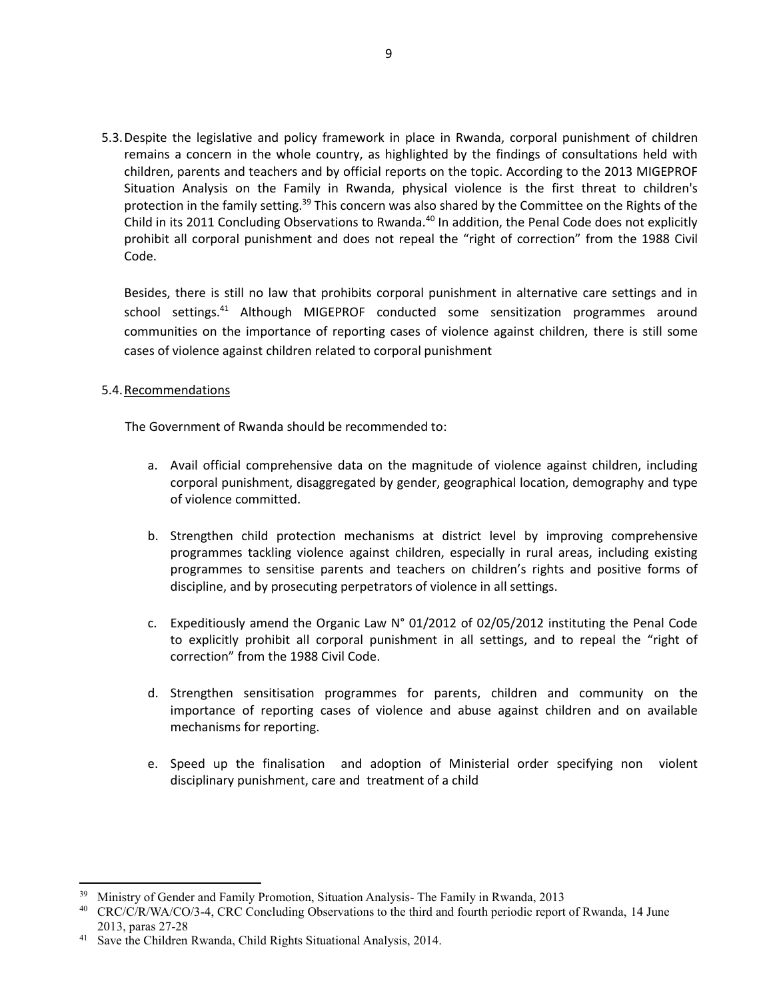5.3.Despite the legislative and policy framework in place in Rwanda, corporal punishment of children remains a concern in the whole country, as highlighted by the findings of consultations held with children, parents and teachers and by official reports on the topic. According to the 2013 MIGEPROF Situation Analysis on the Family in Rwanda, physical violence is the first threat to children's protection in the family setting.<sup>39</sup> This concern was also shared by the Committee on the Rights of the Child in its 2011 Concluding Observations to Rwanda.<sup>40</sup> In addition, the Penal Code does not explicitly prohibit all corporal punishment and does not repeal the "right of correction" from the 1988 Civil Code.

Besides, there is still no law that prohibits corporal punishment in alternative care settings and in school settings.41 Although MIGEPROF conducted some sensitization programmes around communities on the importance of reporting cases of violence against children, there is still some cases of violence against children related to corporal punishment

#### 5.4.Recommendations

 $\overline{\phantom{a}}$ 

The Government of Rwanda should be recommended to:

- a. Avail official comprehensive data on the magnitude of violence against children, including corporal punishment, disaggregated by gender, geographical location, demography and type of violence committed.
- b. Strengthen child protection mechanisms at district level by improving comprehensive programmes tackling violence against children, especially in rural areas, including existing programmes to sensitise parents and teachers on children's rights and positive forms of discipline, and by prosecuting perpetrators of violence in all settings.
- c. Expeditiously amend the Organic Law N° 01/2012 of 02/05/2012 instituting the Penal Code to explicitly prohibit all corporal punishment in all settings, and to repeal the "right of correction" from the 1988 Civil Code.
- d. Strengthen sensitisation programmes for parents, children and community on the importance of reporting cases of violence and abuse against children and on available mechanisms for reporting.
- e. Speed up the finalisation and adoption of Ministerial order specifying non violent disciplinary punishment, care and treatment of a child

<sup>&</sup>lt;sup>39</sup> Ministry of Gender and Family Promotion, Situation Analysis- The Family in Rwanda, 2013

<sup>40</sup> CRC/C/R/WA/CO/3-4, CRC Concluding Observations to the third and fourth periodic report of Rwanda, 14 June 2013, paras 27-28

<sup>&</sup>lt;sup>41</sup> Save the Children Rwanda, Child Rights Situational Analysis, 2014.